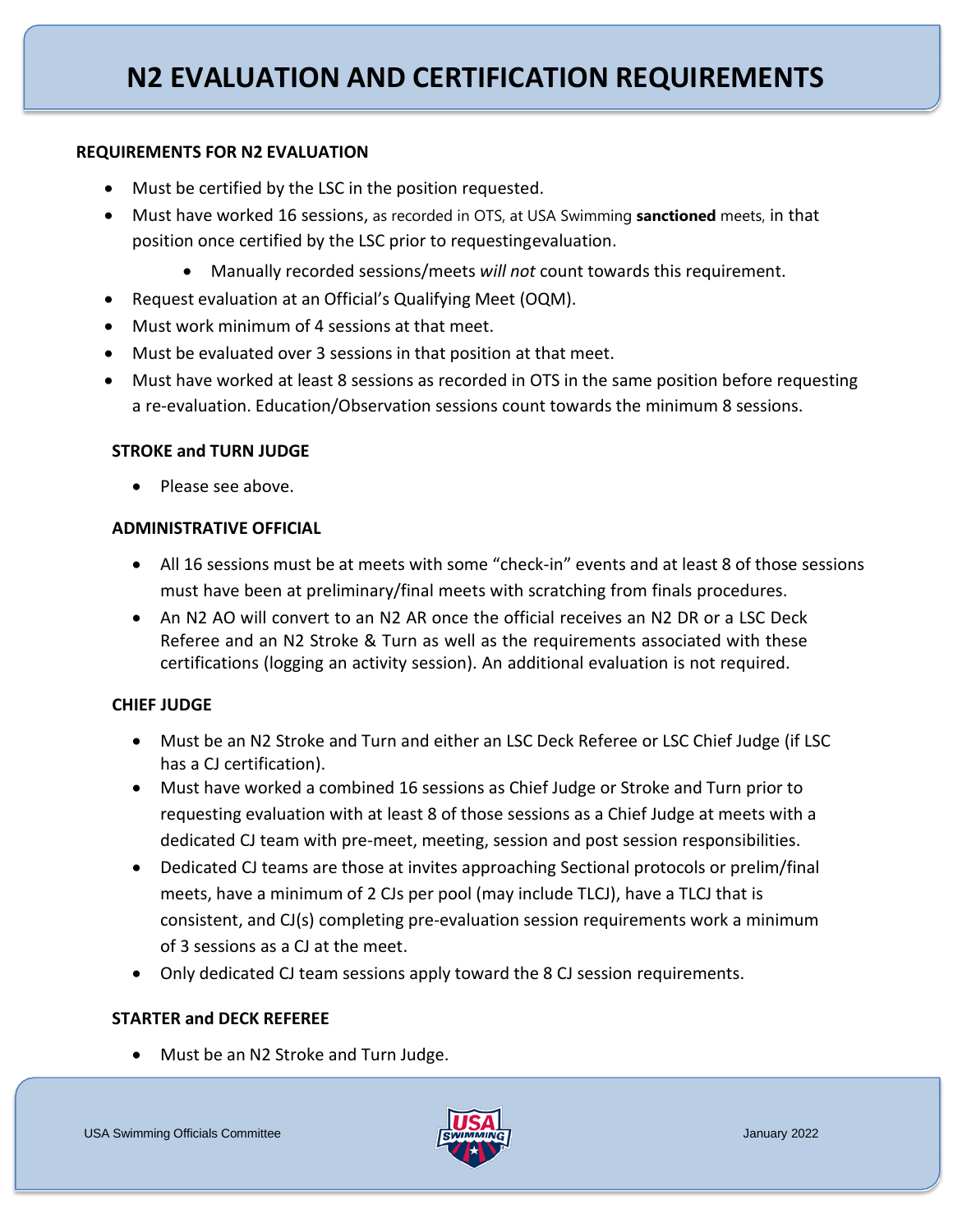## **REQUIREMENTS FOR N2 EVALUATION**

- Must be certified by the LSC in the position requested.
- Must have worked 16 sessions, as recorded in OTS, at USA Swimming **sanctioned** meets, in that position once certified by the LSC prior to requestingevaluation.
	- Manually recorded sessions/meets *will not* count towards this requirement.
- Request evaluation at an Official's Qualifying Meet (OQM).
- Must work minimum of 4 sessions at that meet.
- Must be evaluated over 3 sessions in that position at that meet.
- Must have worked at least 8 sessions as recorded in OTS in the same position before requesting a re-evaluation. Education/Observation sessions count towards the minimum 8 sessions.

# **STROKE and TURN JUDGE**

• Please see above.

# **ADMINISTRATIVE OFFICIAL**

- All 16 sessions must be at meets with some "check-in" events and at least 8 of those sessions must have been at preliminary/final meets with scratching from finals procedures.
- An N2 AO will convert to an N2 AR once the official receives an N2 DR or a LSC Deck Referee and an N2 Stroke & Turn as well as the requirements associated with these certifications (logging an activity session). An additional evaluation is not required.

# **CHIEF JUDGE**

- Must be an N2 Stroke and Turn and either an LSC Deck Referee or LSC Chief Judge (if LSC has a CJ certification).
- Must have worked a combined 16 sessions as Chief Judge or Stroke and Turn prior to requesting evaluation with at least 8 of those sessions as a Chief Judge at meets with a dedicated CJ team with pre-meet, meeting, session and post session responsibilities.
- Dedicated CJ teams are those at invites approaching Sectional protocols or prelim/final meets, have a minimum of 2 CJs per pool (may include TLCJ), have a TLCJ that is consistent, and CJ(s) completing pre-evaluation session requirements work a minimum of 3 sessions as a CJ at the meet.
- Only dedicated CJ team sessions apply toward the 8 CJ session requirements.

# **STARTER and DECK REFEREE**

• Must be an N2 Stroke and Turn Judge.